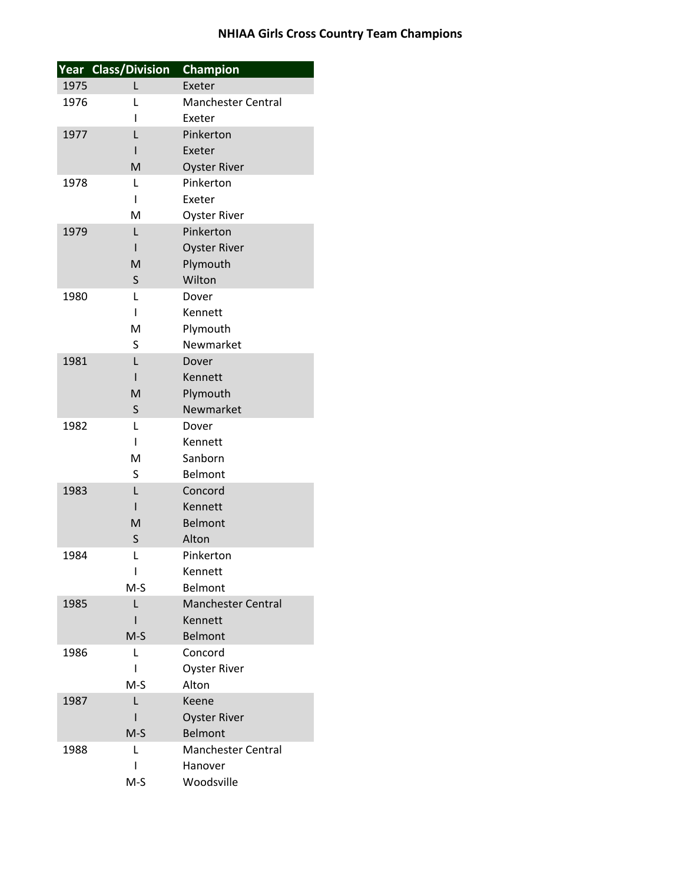|      | Year Class/Division | Champion                  |
|------|---------------------|---------------------------|
| 1975 | L                   | Exeter                    |
| 1976 | L                   | <b>Manchester Central</b> |
|      | I                   | Exeter                    |
| 1977 | L                   | Pinkerton                 |
|      | ı                   | Exeter                    |
|      | M                   | <b>Oyster River</b>       |
| 1978 | L                   | Pinkerton                 |
|      | ı                   | Exeter                    |
|      | M                   | <b>Oyster River</b>       |
| 1979 | L                   | Pinkerton                 |
|      | ı                   | <b>Oyster River</b>       |
|      | M                   | Plymouth                  |
|      | S                   | Wilton                    |
| 1980 | L                   | Dover                     |
|      | I                   | Kennett                   |
|      | M                   | Plymouth                  |
|      | S                   | Newmarket                 |
| 1981 | Г                   | Dover                     |
|      | ı                   | Kennett                   |
|      | M                   | Plymouth                  |
|      | S                   | Newmarket                 |
| 1982 | L                   | Dover                     |
|      | ı                   | Kennett                   |
|      | M                   | Sanborn                   |
|      | S                   | <b>Belmont</b>            |
| 1983 | L                   | Concord                   |
|      | $\mathsf{I}$        | Kennett                   |
|      | M                   | <b>Belmont</b>            |
|      | S                   | Alton                     |
| 1984 | L                   | Pinkerton                 |
|      | ı                   | Kennett                   |
|      | M-S                 | Belmont                   |
| 1985 | L                   | <b>Manchester Central</b> |
|      |                     | Kennett                   |
|      | $M-S$               | <b>Belmont</b>            |
| 1986 | L                   | Concord                   |
|      | ı                   | <b>Oyster River</b>       |
|      | M-S                 | Alton                     |
| 1987 | L                   | Keene                     |
|      |                     | <b>Oyster River</b>       |
|      | M-S                 | <b>Belmont</b>            |
| 1988 | L                   | <b>Manchester Central</b> |
|      |                     | Hanover                   |
|      | M-S                 | Woodsville                |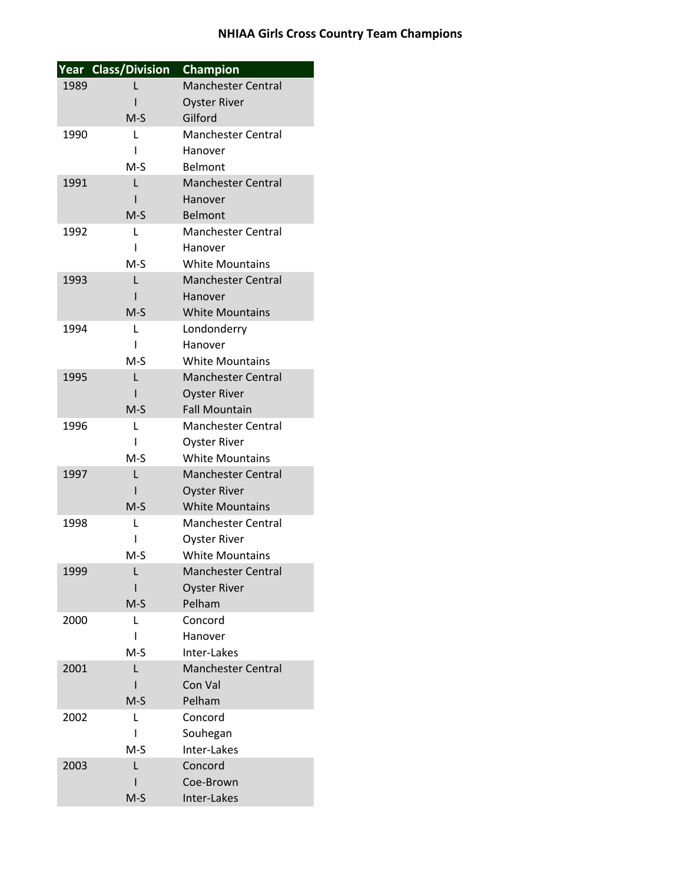|      | Year Class/Division | <b>Champion</b>           |
|------|---------------------|---------------------------|
| 1989 |                     | <b>Manchester Central</b> |
|      |                     | <b>Oyster River</b>       |
|      | $M-S$               | Gilford                   |
| 1990 | L                   | <b>Manchester Central</b> |
|      | ı                   | Hanover                   |
|      | M-S                 | Belmont                   |
| 1991 | L                   | <b>Manchester Central</b> |
|      | ı                   | Hanover                   |
|      | $M-S$               | Belmont                   |
| 1992 | L                   | <b>Manchester Central</b> |
|      | ı                   | Hanover                   |
|      | $M-S$               | <b>White Mountains</b>    |
| 1993 | L                   | <b>Manchester Central</b> |
|      | ı                   | Hanover                   |
|      | $M-S$               | <b>White Mountains</b>    |
| 1994 | L                   | Londonderry               |
|      | ı                   | Hanover                   |
|      | $M-S$               | <b>White Mountains</b>    |
| 1995 | L                   | <b>Manchester Central</b> |
|      |                     | <b>Oyster River</b>       |
|      | $M-S$               | <b>Fall Mountain</b>      |
| 1996 | L                   | Manchester Central        |
|      | ı                   | <b>Oyster River</b>       |
|      | $M-S$               | <b>White Mountains</b>    |
| 1997 | L                   | <b>Manchester Central</b> |
|      | ı                   | <b>Oyster River</b>       |
|      | $M-S$               | <b>White Mountains</b>    |
| 1998 | L                   | <b>Manchester Central</b> |
|      |                     | <b>Oyster River</b>       |
|      | $M-S$               | <b>White Mountains</b>    |
| 1999 |                     | <b>Manchester Central</b> |
|      |                     | <b>Oyster River</b>       |
|      | $M-S$               | Pelham                    |
| 2000 | L                   | Concord                   |
|      | ı                   | Hanover                   |
|      | $M-S$               | Inter-Lakes               |
| 2001 | L                   | <b>Manchester Central</b> |
|      |                     | Con Val                   |
|      | $M-S$               | Pelham                    |
| 2002 | L                   | Concord                   |
|      |                     | Souhegan                  |
|      | M-S                 | Inter-Lakes               |
| 2003 | L                   | Concord                   |
|      |                     | Coe-Brown                 |
|      | $M-S$               | Inter-Lakes               |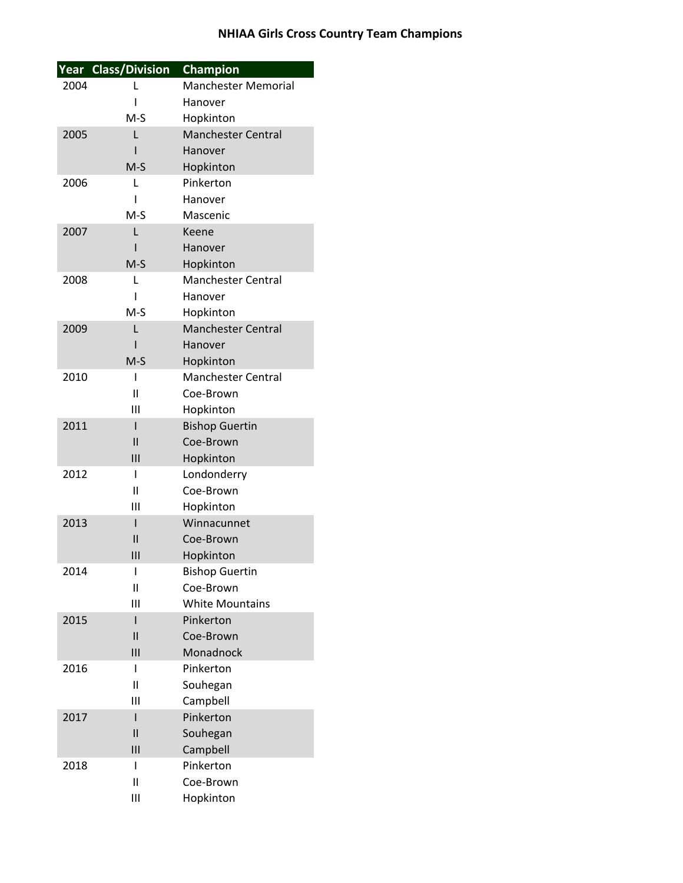|      | Year Class/Division | <b>Champion</b>            |
|------|---------------------|----------------------------|
| 2004 | L                   | <b>Manchester Memorial</b> |
|      | ı                   | Hanover                    |
|      | $M-S$               | Hopkinton                  |
| 2005 | L                   | <b>Manchester Central</b>  |
|      | ı                   | Hanover                    |
|      | $M-S$               | Hopkinton                  |
| 2006 | L                   | Pinkerton                  |
|      | ı                   | Hanover                    |
|      | $M-S$               | Mascenic                   |
| 2007 | L                   | Keene                      |
|      | ı                   | Hanover                    |
|      | $M-S$               | Hopkinton                  |
| 2008 | L                   | <b>Manchester Central</b>  |
|      | ı                   | Hanover                    |
|      | $M-S$               | Hopkinton                  |
| 2009 | L                   | <b>Manchester Central</b>  |
|      | ı                   | Hanover                    |
|      | $M-S$               | Hopkinton                  |
| 2010 | I                   | <b>Manchester Central</b>  |
|      | Ш                   | Coe-Brown                  |
|      | Ш                   | Hopkinton                  |
| 2011 | I                   | <b>Bishop Guertin</b>      |
|      | $\mathsf{II}$       | Coe-Brown                  |
|      | $\mathsf{III}$      | Hopkinton                  |
| 2012 | ı                   | Londonderry                |
|      | Ш                   | Coe-Brown                  |
|      | Ш                   | Hopkinton                  |
| 2013 | ı                   | Winnacunnet                |
|      | $\mathsf{II}$       | Coe-Brown                  |
|      | Ш                   | Hopkinton                  |
| 2014 | I                   | <b>Bishop Guertin</b>      |
|      | Ш                   | Coe-Brown                  |
|      | Ш                   | <b>White Mountains</b>     |
| 2015 | ı                   | Pinkerton                  |
|      | $\mathsf{II}$       | Coe-Brown                  |
|      | $\mathbf{III}$      | Monadnock                  |
| 2016 | ı                   | Pinkerton                  |
|      | $\mathbf{I}$        | Souhegan                   |
|      | Ш                   | Campbell                   |
| 2017 | ı                   | Pinkerton                  |
|      | $\mathsf{II}$       | Souhegan                   |
|      | $\mathbf{III}$      | Campbell                   |
| 2018 | ı                   | Pinkerton                  |
|      | Ш                   | Coe-Brown                  |
|      | Ш                   | Hopkinton                  |